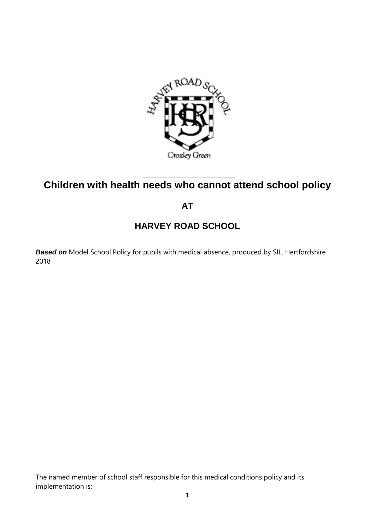

# **Children with health needs who cannot attend school policy**

**AT** 

# **HARVEY ROAD SCHOOL**

**Based on** Model School Policy for pupils with medical absence, produced by SIL, Hertfordshire 2018

The named member of school staff responsible for this medical conditions policy and its implementation is: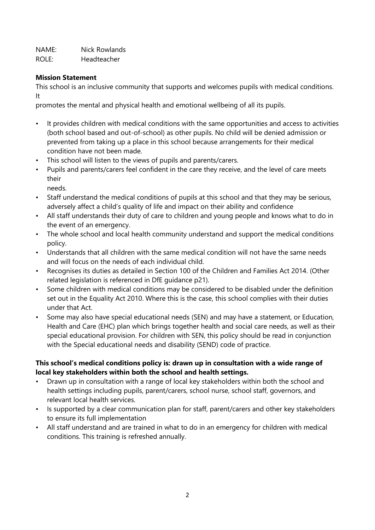NAME: Nick Rowlands ROLE: Headteacher

#### **Mission Statement**

This school is an inclusive community that supports and welcomes pupils with medical conditions. It

promotes the mental and physical health and emotional wellbeing of all its pupils.

- It provides children with medical conditions with the same opportunities and access to activities (both school based and out-of-school) as other pupils. No child will be denied admission or prevented from taking up a place in this school because arrangements for their medical condition have not been made.
- This school will listen to the views of pupils and parents/carers.
- Pupils and parents/carers feel confident in the care they receive, and the level of care meets their
	- needs.
- Staff understand the medical conditions of pupils at this school and that they may be serious, adversely affect a child's quality of life and impact on their ability and confidence
- All staff understands their duty of care to children and young people and knows what to do in the event of an emergency.
- The whole school and local health community understand and support the medical conditions policy.
- Understands that all children with the same medical condition will not have the same needs and will focus on the needs of each individual child.
- Recognises its duties as detailed in Section 100 of the Children and Families Act 2014. (Other related legislation is referenced in DfE guidance p21).
- Some children with medical conditions may be considered to be disabled under the definition set out in the Equality Act 2010. Where this is the case, this school complies with their duties under that Act.
- Some may also have special educational needs (SEN) and may have a statement, or Education, Health and Care (EHC) plan which brings together health and social care needs, as well as their special educational provision. For children with SEN, this policy should be read in conjunction with the Special educational needs and disability (SEND) code of practice.

## **This school's medical conditions policy is: drawn up in consultation with a wide range of local key stakeholders within both the school and health settings.**

- Drawn up in consultation with a range of local key stakeholders within both the school and health settings including pupils, parent/carers, school nurse, school staff, governors, and relevant local health services.
- Is supported by a clear communication plan for staff, parent/carers and other key stakeholders to ensure its full implementation
- All staff understand and are trained in what to do in an emergency for children with medical conditions. This training is refreshed annually.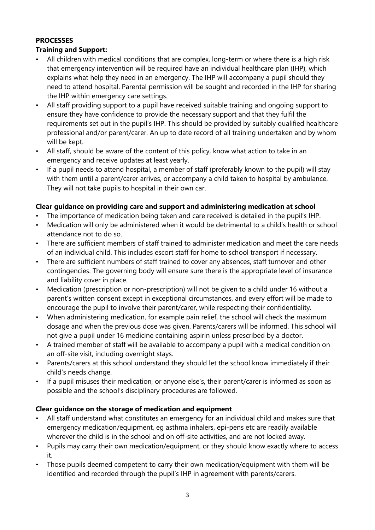## **PROCESSES**

## **Training and Support:**

- All children with medical conditions that are complex, long-term or where there is a high risk that emergency intervention will be required have an individual healthcare plan (IHP), which explains what help they need in an emergency. The IHP will accompany a pupil should they need to attend hospital. Parental permission will be sought and recorded in the IHP for sharing the IHP within emergency care settings.
- All staff providing support to a pupil have received suitable training and ongoing support to ensure they have confidence to provide the necessary support and that they fulfil the requirements set out in the pupil's IHP. This should be provided by suitably qualified healthcare professional and/or parent/carer. An up to date record of all training undertaken and by whom will be kept.
- All staff, should be aware of the content of this policy, know what action to take in an emergency and receive updates at least yearly.
- If a pupil needs to attend hospital, a member of staff (preferably known to the pupil) will stay with them until a parent/carer arrives, or accompany a child taken to hospital by ambulance. They will not take pupils to hospital in their own car.

#### **Clear guidance on providing care and support and administering medication at school**

- The importance of medication being taken and care received is detailed in the pupil's IHP.
- Medication will only be administered when it would be detrimental to a child's health or school attendance not to do so.
- There are sufficient members of staff trained to administer medication and meet the care needs of an individual child. This includes escort staff for home to school transport if necessary.
- There are sufficient numbers of staff trained to cover any absences, staff turnover and other contingencies. The governing body will ensure sure there is the appropriate level of insurance and liability cover in place.
- Medication (prescription or non-prescription) will not be given to a child under 16 without a parent's written consent except in exceptional circumstances, and every effort will be made to encourage the pupil to involve their parent/carer, while respecting their confidentiality.
- When administering medication, for example pain relief, the school will check the maximum dosage and when the previous dose was given. Parents/carers will be informed. This school will not give a pupil under 16 medicine containing aspirin unless prescribed by a doctor.
- A trained member of staff will be available to accompany a pupil with a medical condition on an off-site visit, including overnight stays.
- Parents/carers at this school understand they should let the school know immediately if their child's needs change.
- If a pupil misuses their medication, or anyone else's, their parent/carer is informed as soon as possible and the school's disciplinary procedures are followed.

# **Clear guidance on the storage of medication and equipment**

- All staff understand what constitutes an emergency for an individual child and makes sure that emergency medication/equipment, eg asthma inhalers, epi-pens etc are readily available wherever the child is in the school and on off-site activities, and are not locked away.
- Pupils may carry their own medication/equipment, or they should know exactly where to access it.
- Those pupils deemed competent to carry their own medication/equipment with them will be identified and recorded through the pupil's IHP in agreement with parents/carers.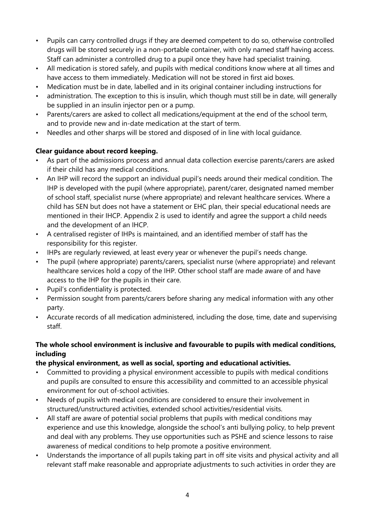- Pupils can carry controlled drugs if they are deemed competent to do so, otherwise controlled drugs will be stored securely in a non-portable container, with only named staff having access. Staff can administer a controlled drug to a pupil once they have had specialist training.
- All medication is stored safely, and pupils with medical conditions know where at all times and have access to them immediately. Medication will not be stored in first aid boxes.
- Medication must be in date, labelled and in its original container including instructions for
- administration. The exception to this is insulin, which though must still be in date, will generally be supplied in an insulin injector pen or a pump.
- Parents/carers are asked to collect all medications/equipment at the end of the school term, and to provide new and in-date medication at the start of term.
- Needles and other sharps will be stored and disposed of in line with local guidance.

# **Clear guidance about record keeping.**

- As part of the admissions process and annual data collection exercise parents/carers are asked if their child has any medical conditions.
- An IHP will record the support an individual pupil's needs around their medical condition. The IHP is developed with the pupil (where appropriate), parent/carer, designated named member of school staff, specialist nurse (where appropriate) and relevant healthcare services. Where a child has SEN but does not have a statement or EHC plan, their special educational needs are mentioned in their IHCP. Appendix 2 is used to identify and agree the support a child needs and the development of an IHCP.
- A centralised register of IHPs is maintained, and an identified member of staff has the responsibility for this register.
- IHPs are regularly reviewed, at least every year or whenever the pupil's needs change.
- The pupil (where appropriate) parents/carers, specialist nurse (where appropriate) and relevant healthcare services hold a copy of the IHP. Other school staff are made aware of and have access to the IHP for the pupils in their care.
- Pupil's confidentiality is protected.
- Permission sought from parents/carers before sharing any medical information with any other party.
- Accurate records of all medication administered, including the dose, time, date and supervising staff.

# **The whole school environment is inclusive and favourable to pupils with medical conditions, including**

# **the physical environment, as well as social, sporting and educational activities.**

- Committed to providing a physical environment accessible to pupils with medical conditions and pupils are consulted to ensure this accessibility and committed to an accessible physical environment for out of-school activities.
- Needs of pupils with medical conditions are considered to ensure their involvement in structured/unstructured activities, extended school activities/residential visits.
- All staff are aware of potential social problems that pupils with medical conditions may experience and use this knowledge, alongside the school's anti bullying policy, to help prevent and deal with any problems. They use opportunities such as PSHE and science lessons to raise awareness of medical conditions to help promote a positive environment.
- Understands the importance of all pupils taking part in off site visits and physical activity and all relevant staff make reasonable and appropriate adjustments to such activities in order they are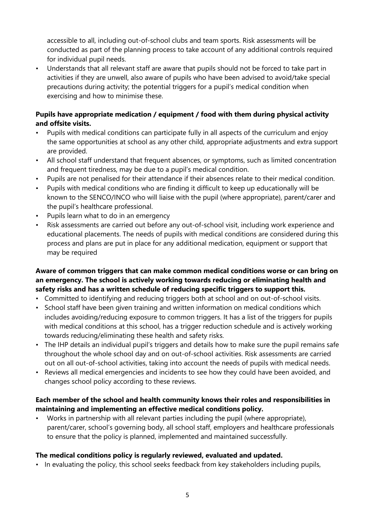accessible to all, including out-of-school clubs and team sports. Risk assessments will be conducted as part of the planning process to take account of any additional controls required for individual pupil needs.

• Understands that all relevant staff are aware that pupils should not be forced to take part in activities if they are unwell, also aware of pupils who have been advised to avoid/take special precautions during activity; the potential triggers for a pupil's medical condition when exercising and how to minimise these.

## **Pupils have appropriate medication / equipment / food with them during physical activity and offsite visits.**

- Pupils with medical conditions can participate fully in all aspects of the curriculum and enjoy the same opportunities at school as any other child, appropriate adjustments and extra support are provided.
- All school staff understand that frequent absences, or symptoms, such as limited concentration and frequent tiredness, may be due to a pupil's medical condition.
- Pupils are not penalised for their attendance if their absences relate to their medical condition.
- Pupils with medical conditions who are finding it difficult to keep up educationally will be known to the SENCO/INCO who will liaise with the pupil (where appropriate), parent/carer and the pupil's healthcare professional.
- Pupils learn what to do in an emergency
- Risk assessments are carried out before any out-of-school visit, including work experience and educational placements. The needs of pupils with medical conditions are considered during this process and plans are put in place for any additional medication, equipment or support that may be required

## **Aware of common triggers that can make common medical conditions worse or can bring on an emergency. The school is actively working towards reducing or eliminating health and safety risks and has a written schedule of reducing specific triggers to support this.**

- Committed to identifying and reducing triggers both at school and on out-of-school visits.
- School staff have been given training and written information on medical conditions which includes avoiding/reducing exposure to common triggers. It has a list of the triggers for pupils with medical conditions at this school, has a trigger reduction schedule and is actively working towards reducing/eliminating these health and safety risks.
- The IHP details an individual pupil's triggers and details how to make sure the pupil remains safe throughout the whole school day and on out-of-school activities. Risk assessments are carried out on all out-of-school activities, taking into account the needs of pupils with medical needs.
- Reviews all medical emergencies and incidents to see how they could have been avoided, and changes school policy according to these reviews.

## **Each member of the school and health community knows their roles and responsibilities in maintaining and implementing an effective medical conditions policy.**

• Works in partnership with all relevant parties including the pupil (where appropriate), parent/carer, school's governing body, all school staff, employers and healthcare professionals to ensure that the policy is planned, implemented and maintained successfully.

#### **The medical conditions policy is regularly reviewed, evaluated and updated.**

• In evaluating the policy, this school seeks feedback from key stakeholders including pupils,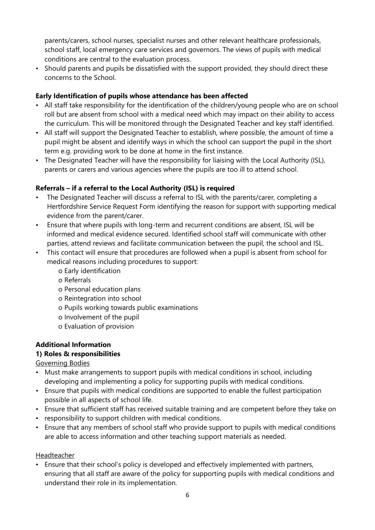parents/carers, school nurses, specialist nurses and other relevant healthcare professionals, school staff, local emergency care services and governors. The views of pupils with medical conditions are central to the evaluation process.

• Should parents and pupils be dissatisfied with the support provided, they should direct these concerns to the School.

## **Early Identification of pupils whose attendance has been affected**

- All staff take responsibility for the identification of the children/young people who are on school roll but are absent from school with a medical need which may impact on their ability to access the curriculum. This will be monitored through the Designated Teacher and key staff identified.
- All staff will support the Designated Teacher to establish, where possible, the amount of time a pupil might be absent and identify ways in which the school can support the pupil in the short term e.g. providing work to be done at home in the first instance.
- The Designated Teacher will have the responsibility for liaising with the Local Authority (ISL), parents or carers and various agencies where the pupils are too ill to attend school.

## **Referrals – if a referral to the Local Authority (ISL) is required**

- The Designated Teacher will discuss a referral to ISL with the parents/carer, completing a Hertfordshire Service Request Form identifying the reason for support with supporting medical evidence from the parent/carer.
- Ensure that where pupils with long-term and recurrent conditions are absent, ISL will be informed and medical evidence secured. Identified school staff will communicate with other parties, attend reviews and facilitate communication between the pupil, the school and ISL.
- This contact will ensure that procedures are followed when a pupil is absent from school for medical reasons including procedures to support:
	- o Early identification
	- o Referrals
	- o Personal education plans
	- o Reintegration into school
	- o Pupils working towards public examinations
	- o Involvement of the pupil
	- o Evaluation of provision

# **Additional Information**

# **1) Roles & responsibilities**

Governing Bodies

- Must make arrangements to support pupils with medical conditions in school, including developing and implementing a policy for supporting pupils with medical conditions.
- Ensure that pupils with medical conditions are supported to enable the fullest participation possible in all aspects of school life.
- Ensure that sufficient staff has received suitable training and are competent before they take on
- responsibility to support children with medical conditions.
- Ensure that any members of school staff who provide support to pupils with medical conditions are able to access information and other teaching support materials as needed.

#### Headteacher

• Ensure that their school's policy is developed and effectively implemented with partners, ensuring that all staff are aware of the policy for supporting pupils with medical conditions and understand their role in its implementation.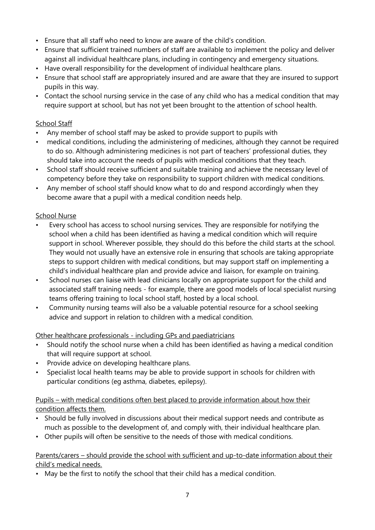- Ensure that all staff who need to know are aware of the child's condition.
- Ensure that sufficient trained numbers of staff are available to implement the policy and deliver against all individual healthcare plans, including in contingency and emergency situations.
- Have overall responsibility for the development of individual healthcare plans.
- Ensure that school staff are appropriately insured and are aware that they are insured to support pupils in this way.
- Contact the school nursing service in the case of any child who has a medical condition that may require support at school, but has not yet been brought to the attention of school health.

#### **School Staff**

- Any member of school staff may be asked to provide support to pupils with
- medical conditions, including the administering of medicines, although they cannot be required to do so. Although administering medicines is not part of teachers' professional duties, they should take into account the needs of pupils with medical conditions that they teach.
- School staff should receive sufficient and suitable training and achieve the necessary level of competency before they take on responsibility to support children with medical conditions.
- Any member of school staff should know what to do and respond accordingly when they become aware that a pupil with a medical condition needs help.

## School Nurse

- Every school has access to school nursing services. They are responsible for notifying the school when a child has been identified as having a medical condition which will require support in school. Wherever possible, they should do this before the child starts at the school. They would not usually have an extensive role in ensuring that schools are taking appropriate steps to support children with medical conditions, but may support staff on implementing a child's individual healthcare plan and provide advice and liaison, for example on training.
- School nurses can liaise with lead clinicians locally on appropriate support for the child and associated staff training needs - for example, there are good models of local specialist nursing teams offering training to local school staff, hosted by a local school.
- Community nursing teams will also be a valuable potential resource for a school seeking advice and support in relation to children with a medical condition.

#### Other healthcare professionals - including GPs and paediatricians

- Should notify the school nurse when a child has been identified as having a medical condition that will require support at school.
- Provide advice on developing healthcare plans.
- Specialist local health teams may be able to provide support in schools for children with particular conditions (eg asthma, diabetes, epilepsy).

## Pupils – with medical conditions often best placed to provide information about how their condition affects them.

- Should be fully involved in discussions about their medical support needs and contribute as much as possible to the development of, and comply with, their individual healthcare plan.
- Other pupils will often be sensitive to the needs of those with medical conditions.

#### Parents/carers – should provide the school with sufficient and up-to-date information about their child's medical needs.

• May be the first to notify the school that their child has a medical condition.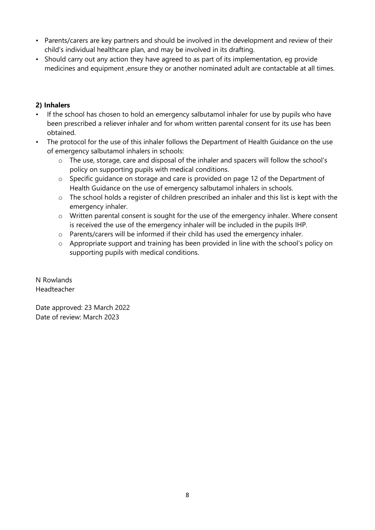- Parents/carers are key partners and should be involved in the development and review of their child's individual healthcare plan, and may be involved in its drafting.
- Should carry out any action they have agreed to as part of its implementation, eg provide medicines and equipment ,ensure they or another nominated adult are contactable at all times.

# **2) Inhalers**

- If the school has chosen to hold an emergency salbutamol inhaler for use by pupils who have been prescribed a reliever inhaler and for whom written parental consent for its use has been obtained.
- The protocol for the use of this inhaler follows the Department of Health Guidance on the use of emergency salbutamol inhalers in schools:
	- o The use, storage, care and disposal of the inhaler and spacers will follow the school's policy on supporting pupils with medical conditions.
	- o Specific guidance on storage and care is provided on page 12 of the Department of Health Guidance on the use of emergency salbutamol inhalers in schools.
	- o The school holds a register of children prescribed an inhaler and this list is kept with the emergency inhaler.
	- $\circ$  Written parental consent is sought for the use of the emergency inhaler. Where consent is received the use of the emergency inhaler will be included in the pupils IHP.
	- o Parents/carers will be informed if their child has used the emergency inhaler.
	- o Appropriate support and training has been provided in line with the school's policy on supporting pupils with medical conditions.

N Rowlands Headteacher

Date approved: 23 March 2022 Date of review: March 2023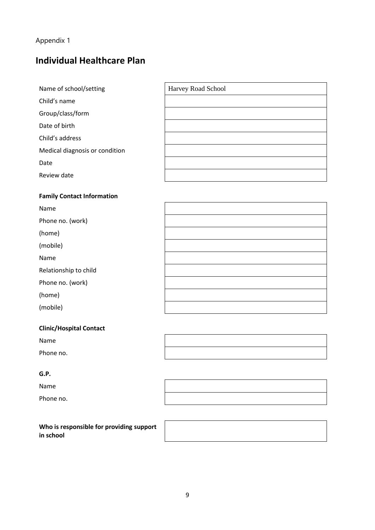# Appendix 1

# **Individual Healthcare Plan**

| Name of school/setting         | Harvey Road School |
|--------------------------------|--------------------|
| Child's name                   |                    |
| Group/class/form               |                    |
| Date of birth                  |                    |
| Child's address                |                    |
| Medical diagnosis or condition |                    |
| Date                           |                    |
| Review date                    |                    |

#### **Family Contact Information**

| Name                  |  |
|-----------------------|--|
| Phone no. (work)      |  |
| (home)                |  |
| (mobile)              |  |
| Name                  |  |
| Relationship to child |  |
| Phone no. (work)      |  |
| (home)                |  |
| (mobile)              |  |

# **Clinic/Hospital Contact**

Name Phone no.

#### **G.P.**

Name

Phone no.

| Who is responsible for providing support |
|------------------------------------------|
| in school                                |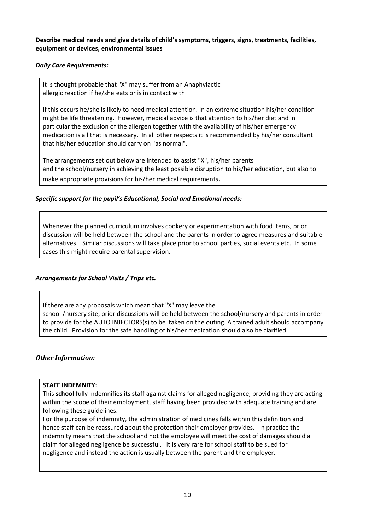**Describe medical needs and give details of child's symptoms, triggers, signs, treatments, facilities, equipment or devices, environmental issues**

#### *Daily Care Requirements:*

It is thought probable that "X" may suffer from an Anaphylactic allergic reaction if he/she eats or is in contact with

If this occurs he/she is likely to need medical attention. In an extreme situation his/her condition might be life threatening. However, medical advice is that attention to his/her diet and in particular the exclusion of the allergen together with the availability of his/her emergency medication is all that is necessary. In all other respects it is recommended by his/her consultant that his/her education should carry on "as normal".

The arrangements set out below are intended to assist "X", his/her parents and the school/nursery in achieving the least possible disruption to his/her education, but also to make appropriate provisions for his/her medical requirements.

#### *Specific support for the pupil's Educational, Social and Emotional needs:*

Whenever the planned curriculum involves cookery or experimentation with food items, prior discussion will be held between the school and the parents in order to agree measures and suitable alternatives. Similar discussions will take place prior to school parties, social events etc. In some cases this might require parental supervision.

#### *Arrangements for School Visits / Trips etc.*

If there are any proposals which mean that "X" may leave the school /nursery site, prior discussions will be held between the school/nursery and parents in order to provide for the AUTO INJECTORS(s) to be taken on the outing. A trained adult should accompany the child. Provision for the safe handling of his/her medication should also be clarified.

#### *Other Information:*

#### **STAFF INDEMNITY:**

This **school** fully indemnifies its staff against claims for alleged negligence, providing they are acting within the scope of their employment, staff having been provided with adequate training and are following these guidelines.

For the purpose of indemnity, the administration of medicines falls within this definition and hence staff can be reassured about the protection their employer provides. In practice the indemnity means that the school and not the employee will meet the cost of damages should a claim for alleged negligence be successful. It is very rare for school staff to be sued for negligence and instead the action is usually between the parent and the employer.